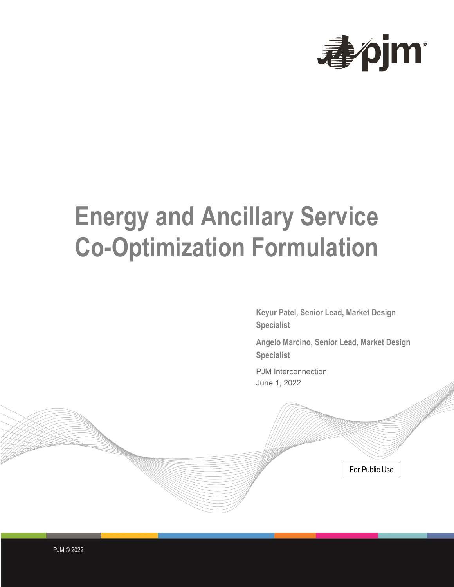

# <span id="page-0-0"></span>**Energy and Ancillary Service Co-Optimization Formulation**

**Keyur Patel, Senior Lead, Market Design Specialist**

**Angelo Marcino, Senior Lead, Market Design Specialist**

PJM Interconnection June 1, 2022

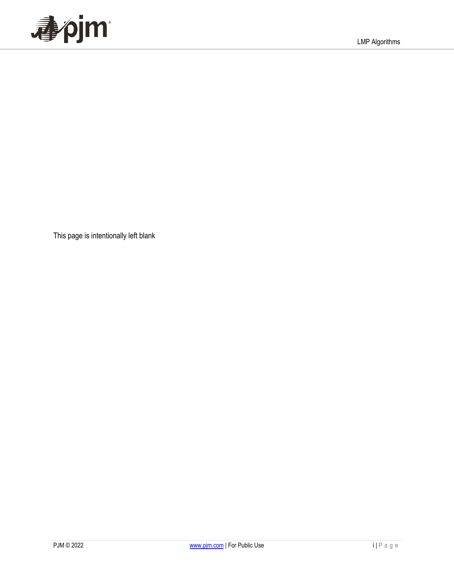

This page is intentionally left blank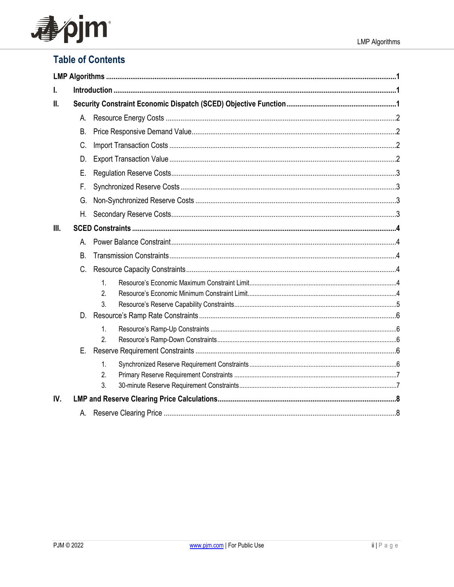

# **Table of Contents**

| L.   |           |                |  |
|------|-----------|----------------|--|
| II.  |           |                |  |
|      |           |                |  |
|      | В.        |                |  |
|      | C.        |                |  |
|      | D.        |                |  |
|      | Е.        |                |  |
|      | F.        |                |  |
|      | G.        |                |  |
|      | Η.        |                |  |
| III. |           |                |  |
|      | А.        |                |  |
|      | <b>B.</b> |                |  |
|      |           |                |  |
|      |           | $\mathbf{1}$ . |  |
|      |           | $\mathfrak{D}$ |  |
|      | D.        | 3.             |  |
|      |           | $\mathbf{1}$ . |  |
|      |           | 2.             |  |
|      |           |                |  |
|      |           | $\mathbf{1}$ . |  |
|      |           | 2.             |  |
| IV.  |           | 3.             |  |
|      |           |                |  |
|      |           |                |  |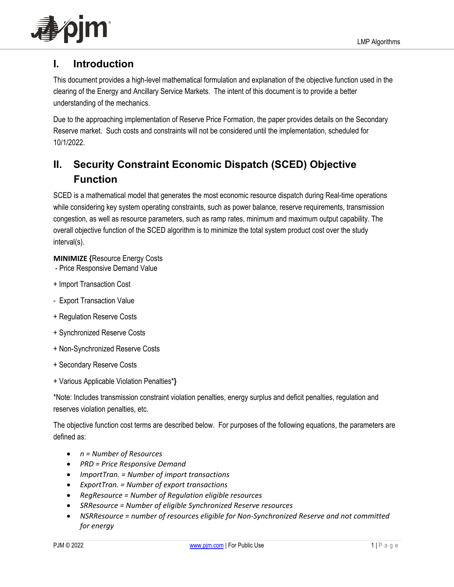

# <span id="page-3-0"></span>**I. Introduction**

This document provides a high-level mathematical formulation and explanation of the objective function used in the clearing of the Energy and Ancillary Service Markets. The intent of this document is to provide a better understanding of the mechanics.

Due to the approaching implementation of Reserve Price Formation, the paper provides details on the Secondary Reserve market. Such costs and constraints will not be considered until the implementation, scheduled for 10/1/2022.

# <span id="page-3-1"></span>**II. Security Constraint Economic Dispatch (SCED) Objective Function**

SCED is a mathematical model that generates the most economic resource dispatch during Real-time operations while considering key system operating constraints, such as power balance, reserve requirements, transmission congestion, as well as resource parameters, such as ramp rates, minimum and maximum output capability. The overall objective function of the SCED algorithm is to minimize the total system product cost over the study interval(s).

## **MINIMIZE {**Resource Energy Costs

- Price Responsive Demand Value
- + Import Transaction Cost
- Export Transaction Value
- + Regulation Reserve Costs
- + Synchronized Reserve Costs
- + Non-Synchronized Reserve Costs
- + Secondary Reserve Costs
- + Various Applicable Violation Penalties\***}**

\*Note: Includes transmission constraint violation penalties, energy surplus and deficit penalties, regulation and reserves violation penalties, etc.

The objective function cost terms are described below. For purposes of the following equations, the parameters are defined as:

- *n = Number of Resources*
- *PRD = Price Responsive Demand*
- *ImportTran. = Number of import transactions*
- *ExportTran. = Number of export transactions*
- *RegResource = Number of Regulation eligible resources*
- *SRResource = Number of eligible Synchronized Reserve resources*
- *NSRResource = number of resources eligible for Non-Synchronized Reserve and not committed for energy*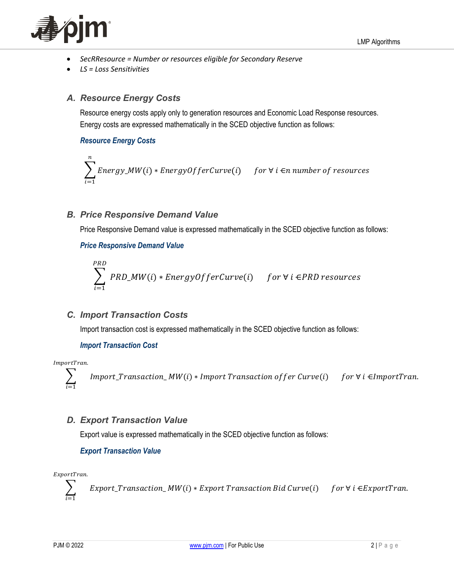

- *SecRResource = Number or resources eligible for Secondary Reserve*
- *LS = Loss Sensitivities*

## <span id="page-4-0"></span>*A. Resource Energy Costs*

Resource energy costs apply only to generation resources and Economic Load Response resources. Energy costs are expressed mathematically in the SCED objective function as follows:

#### *Resource Energy Costs*

$$
\sum_{i=1}^{n} Energy_MW(i) * EnergyOfferCurve(i) \quad for \forall i \in n \, number \, of \, resources
$$

## <span id="page-4-1"></span>*B. Price Responsive Demand Value*

Price Responsive Demand value is expressed mathematically in the SCED objective function as follows:

#### *Price Responsive Demand Value*

$$
\sum_{i=1}^{PRD} PRD_MW(i) * EnergyOfferCurve(i) \quad for \forall i \in PRD \, resources
$$

## <span id="page-4-2"></span>*C. Import Transaction Costs*

Import transaction cost is expressed mathematically in the SCED objective function as follows:

#### *Import Transaction Cost*

ImportTran.

$$
\sum_{i=1}
$$
 *Import Transaction MW*(*i*) *\* Import Transaction offer Curve*(*i*) *for*  $\forall$  *i Elmport Tran and in part if in part if in part if in part if in part if in part if in part if in part if in part if in part if in part if in part if in part if in part if in part if in part if in part if in part if in part if in part if in part if in part if in part if in part if in part if in part if in part if in part if in part if in part if in part if in part if in part if in part if in part if in part if in part if in part if in part if in part if in part if in part if in part* 

## <span id="page-4-3"></span>*D. Export Transaction Value*

Export value is expressed mathematically in the SCED objective function as follows:

#### *Export Transaction Value*

ExportTran.

 $i=1$  $Export\_Transaction\_MW(i) * Export\,Transaction\,Bid\,Curve(i)$  for  $\forall i \in ExportTran.$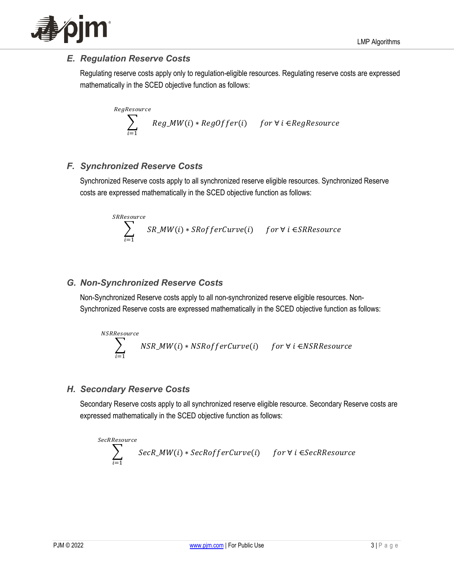

# <span id="page-5-0"></span>*E. Regulation Reserve Costs*

Regulating reserve costs apply only to regulation-eligible resources. Regulating reserve costs are expressed mathematically in the SCED objective function as follows:

$$
\sum_{i=1}^{RegResource} Reg_MW(i) * RegOffer(i) \quad for \forall i \in RegResource
$$

# <span id="page-5-1"></span>*F. Synchronized Reserve Costs*

Synchronized Reserve costs apply to all synchronized reserve eligible resources. Synchronized Reserve costs are expressed mathematically in the SCED objective function as follows:

$$
\sum_{i=1}^{SRResource} SR\_MW(i) * SRofferCurve(i) \quad for \forall i \in SRResource
$$

# <span id="page-5-2"></span>*G. Non-Synchronized Reserve Costs*

Non-Synchronized Reserve costs apply to all non-synchronized reserve eligible resources. Non-Synchronized Reserve costs are expressed mathematically in the SCED objective function as follows:

$$
\sum_{i=1}^{NSR resource} NSR_MW(i) * NSRofferCurve(i) \quad for \forall i \in NSRResource
$$

## <span id="page-5-3"></span>*H. Secondary Reserve Costs*

Secondary Reserve costs apply to all synchronized reserve eligible resource. Secondary Reserve costs are expressed mathematically in the SCED objective function as follows:

$$
\sum_{i=1}^{SecRResource} SecR_MW(i) * SecRofferCurve(i) \quad for \forall i \in SecRResource
$$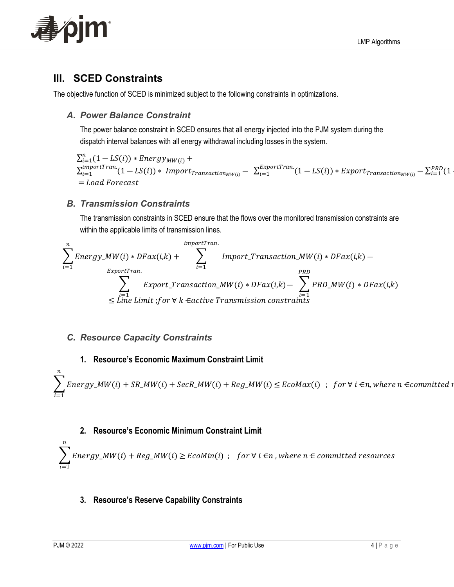

# <span id="page-6-0"></span>**III. SCED Constraints**

The objective function of SCED is minimized subject to the following constraints in optimizations.

# <span id="page-6-1"></span>*A. Power Balance Constraint*

The power balance constraint in SCED ensures that all energy injected into the PJM system during the dispatch interval balances with all energy withdrawal including losses in the system.

 $\sum_{i=1}^{n} (1 - LS(i)) * Energy_{MW(i)} +$  $\sum_{i=1}^{importTran.}$  $\sum_{i=1}^{import Tran.}(1-LS(i))*Import_{Transaction_{MW(i)}} - \sum_{i=1}^{ExportTran.}$  $\frac{ExportTran.}{E(z)}(1 - LS(i)) * Export_{Transaction_{MW(i)}} - \sum_{i=1}^{PRD}(\sum_{i=1}^{PQ(i)}{e_i})$  $(1 \cdot$  $=$  Load Forecast

# <span id="page-6-2"></span>*B. Transmission Constraints*

The transmission constraints in SCED ensure that the flows over the monitored transmission constraints are within the applicable limits of transmission lines.

$$
\sum_{i=1}^{n} Energy\_MW(i) * DFax(i,k) + \sum_{i=1}^{importTran.} Import\_Transaction\_MW(i) * DFax(i,k) - \sum_{i=1}^{EXPOTTran.} Emport\_Transaction\_MW(i) * DFax(i,k) - \sum_{i=1}^{PRD} PRD\_MW(i) * DFax(i,k) \le Line Limit; for \forall k \in active Transmission constraints
$$

# <span id="page-6-3"></span>*C. Resource Capacity Constraints*

# <span id="page-6-4"></span>**1. Resource's Economic Maximum Constraint Limit**

n  $i=1$ Energy\_MW(i) + SR\_MW(i) + SecR\_MW(i) + Reg\_MW(i)  $\leq E \text{coMax}(i)$  ; for  $\forall$  i  $\in$ n, where  $n$   $\in$ committed r

## <span id="page-6-5"></span>**2. Resource's Economic Minimum Constraint Limit**

$$
\sum_{i=1}^{n} Energy_MW(i) + Reg_MW(i) \ge EcoMin(i) ; for \forall i \in n, where n \in committed \, resources
$$

## <span id="page-6-6"></span>**3. Resource's Reserve Capability Constraints**

 $\overline{n}$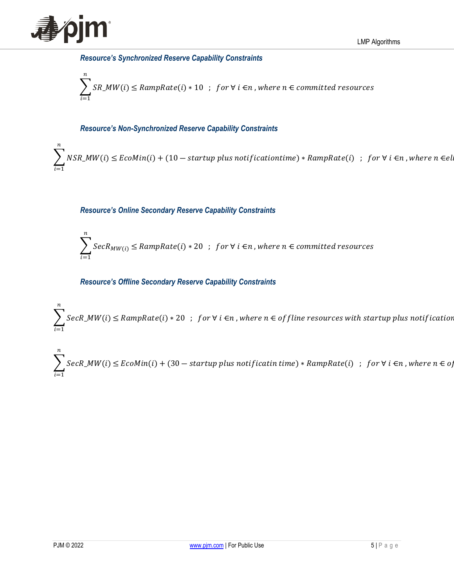

#### *Resource's Synchronized Reserve Capability Constraints*

$$
\sum_{i=1}^{n} SR\_MW(i) \leq RampRate(i) * 10 ; for \forall i \in n, where n \in committed \, resources
$$

#### *Resource's Non-Synchronized Reserve Capability Constraints*

 $\boldsymbol{n}$  $i=1$  $NSR\_MW(i) \leq EcoMin(i) + (10 - startup \ plus \ notification time) * RampRate(i) \ ; \ for \ \forall \ i \in \neg \, , where \ n \in elw.$ 

#### *Resource's Online Secondary Reserve Capability Constraints*

$$
\sum_{i=1}^{n} SecR_{MW(i)} \leq RampRate(i) * 20 \quad ; \quad for \forall i \in n, where \, n \in committed \, resources
$$

#### *Resource's Offline Secondary Reserve Capability Constraints*

n  $i=1$ SecR\_MW(i)  $\le$  RampRate(i)  $*$  20  $\;$  ;  $\;$  for  $\forall$  i  $\in$ n , where  $n$   $\in$  of fline resources with startup plus notification

 $\overline{i=1}$ SecR\_MW(i)  $\leq$  EcoMin(i) + (30 – startup plus notificatin time) \* RampRate(i) ; for  $\forall$  i  $\in$ n, where  $n \in$  oj

 $\boldsymbol{n}$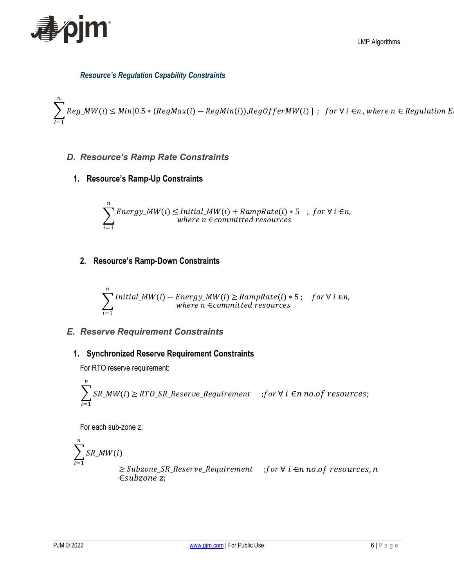

## *Resource's Regulation Capability Constraints*

$$
\sum_{i=1}^{n} Reg\_MW(i) \leq Min[0.5 * (RegMax(i) - RegMin(i)),RegOfferMW(i)] ; for \forall i \in n, where n \in RegulationE
$$

- <span id="page-8-1"></span><span id="page-8-0"></span>*D. Resource's Ramp Rate Constraints*
	- **1. Resource's Ramp-Up Constraints**

$$
\sum_{i=1}^{n} Energy_MW(i) \le Initial_MW(i) + RampRate(i) * 5 \quad ; \text{ for } \forall i \in n,
$$
  
where n  $\in \text{committed resources}$ 

<span id="page-8-2"></span>**2. Resource's Ramp-Down Constraints**

$$
\sum_{i=1}^{n} Initial_MW(i) - Energy_MW(i) \geq RampRate(i) * 5; \quad for \forall i \in n,
$$
  
where  $n \in committed \, resources$ 

# <span id="page-8-3"></span>*E. Reserve Requirement Constraints*

# <span id="page-8-4"></span>**1. Synchronized Reserve Requirement Constraints**

For RTO reserve requirement:

$$
\sum_{i=1}^{n} SR\_MW(i) \geq RTO\_SR\_Reserve\_Required \quad ; for \forall \ i \in n \ no. of \ resources;
$$

For each sub-zone z:

$$
\sum_{i=1}^{n} SR\_MW(i)
$$
\n
$$
\geq Subzone\_SR\_Reserve\_Required \quad ; for \forall i \in n \, no. of \, resources, n
$$
\n
$$
\in subzone \, z;
$$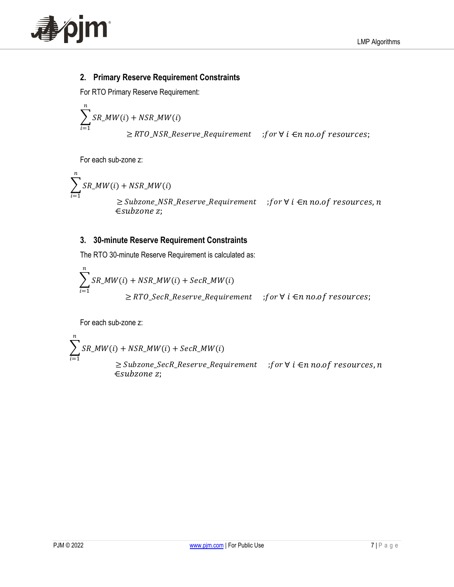

# <span id="page-9-0"></span>**2. Primary Reserve Requirement Constraints**

For RTO Primary Reserve Requirement:

$$
\sum_{i=1}^{n} SR\_MW(i) + NSR\_MW(i)
$$
  
\n
$$
\geq RTO\_NSR\_Reserve\_Required \quad ; for \forall i \in n \text{ no.} of resources;
$$

For each sub-zone z:

$$
\sum_{i=1}^{n} SR\_MW(i) + NSR\_MW(i)
$$
\n
$$
\geq Subzone\_NSR\_Reserve\_Required \quad ; for \forall i \in n \text{ no.} of \text{ resources}, n
$$
\n
$$
\in subzone \ z;
$$

## <span id="page-9-1"></span>**3. 30-minute Reserve Requirement Constraints**

The RTO 30-minute Reserve Requirement is calculated as:

$$
\sum_{i=1}^{n} SR\_MW(i) + NSR\_MW(i) + SecR\_MW(i)
$$
  
\n
$$
\geq RTO\_SecR\_Reserve\_Required \quad ; for \forall i \in n \text{ no.} of \text{ resources};
$$

For each sub-zone z:

$$
\sum_{i=1}^{n} SR\_MW(i) + NSR\_MW(i) + SecR\_MW(i)
$$
\n
$$
\geq Subzone\_SecR\_Reserve\_Required \quad \text{;} for \forall i \in n \text{ no.} of \text{ resources}, n
$$
\n
$$
\in subzone z;
$$